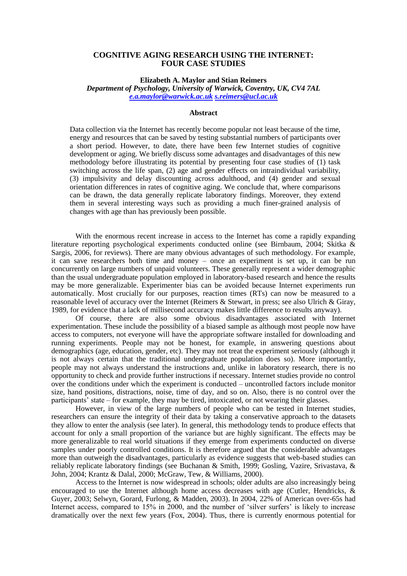## **COGNITIVE AGING RESEARCH USING THE INTERNET: FOUR CASE STUDIES**

**Elizabeth A. Maylor and Stian Reimers**

*Department of Psychology, University of Warwick, Coventry, UK, CV4 7AL [e.a.maylor@warwick.ac.uk](mailto:e.a.maylor@warwick.ac.uk) [s.reimers@ucl.ac.uk](mailto:s.reimers@warwick.ac.uk)*

#### **Abstract**

Data collection via the Internet has recently become popular not least because of the time, energy and resources that can be saved by testing substantial numbers of participants over a short period. However, to date, there have been few Internet studies of cognitive development or aging. We briefly discuss some advantages and disadvantages of this new methodology before illustrating its potential by presenting four case studies of (1) task switching across the life span, (2) age and gender effects on intraindividual variability, (3) impulsivity and delay discounting across adulthood, and (4) gender and sexual orientation differences in rates of cognitive aging. We conclude that, where comparisons can be drawn, the data generally replicate laboratory findings. Moreover, they extend them in several interesting ways such as providing a much finer-grained analysis of changes with age than has previously been possible.

With the enormous recent increase in access to the Internet has come a rapidly expanding literature reporting psychological experiments conducted online (see Birnbaum, 2004; Skitka & Sargis, 2006, for reviews). There are many obvious advantages of such methodology. For example, it can save researchers both time and money – once an experiment is set up, it can be run concurrently on large numbers of unpaid volunteers. These generally represent a wider demographic than the usual undergraduate population employed in laboratory-based research and hence the results may be more generalizable. Experimenter bias can be avoided because Internet experiments run automatically. Most crucially for our purposes, reaction times (RTs) can now be measured to a reasonable level of accuracy over the Internet (Reimers & Stewart, in press; see also Ulrich & Giray, 1989, for evidence that a lack of millisecond accuracy makes little difference to results anyway).

Of course, there are also some obvious disadvantages associated with Internet experimentation. These include the possibility of a biased sample as although most people now have access to computers, not everyone will have the appropriate software installed for downloading and running experiments. People may not be honest, for example, in answering questions about demographics (age, education, gender, etc). They may not treat the experiment seriously (although it is not always certain that the traditional undergraduate population does so). More importantly, people may not always understand the instructions and, unlike in laboratory research, there is no opportunity to check and provide further instructions if necessary. Internet studies provide no control over the conditions under which the experiment is conducted – uncontrolled factors include monitor size, hand positions, distractions, noise, time of day, and so on. Also, there is no control over the participants' state – for example, they may be tired, intoxicated, or not wearing their glasses.

However, in view of the large numbers of people who can be tested in Internet studies, researchers can ensure the integrity of their data by taking a conservative approach to the datasets they allow to enter the analysis (see later). In general, this methodology tends to produce effects that account for only a small proportion of the variance but are highly significant. The effects may be more generalizable to real world situations if they emerge from experiments conducted on diverse samples under poorly controlled conditions. It is therefore argued that the considerable advantages more than outweigh the disadvantages, particularly as evidence suggests that web-based studies can reliably replicate laboratory findings (see Buchanan & Smith, 1999; Gosling, Vazire, Srivastava, & John, 2004; Krantz & Dalal, 2000; McGraw, Tew, & Williams, 2000).

Access to the Internet is now widespread in schools; older adults are also increasingly being encouraged to use the Internet although home access decreases with age (Cutler, Hendricks,  $\&$ Guyer, 2003; Selwyn, Gorard, Furlong, & Madden, 2003). In 2004, 22% of American over-65s had Internet access, compared to 15% in 2000, and the number of 'silver surfers' is likely to increase dramatically over the next few years (Fox, 2004). Thus, there is currently enormous potential for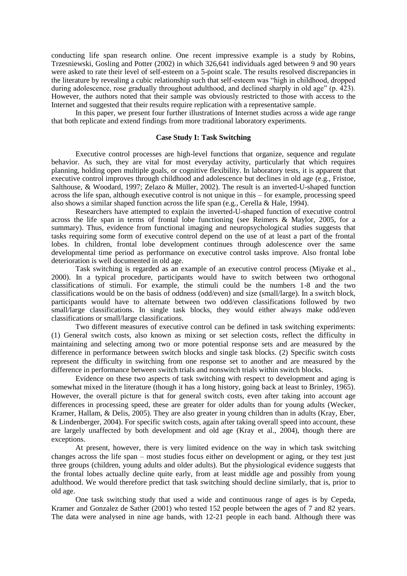conducting life span research online. One recent impressive example is a study by Robins, Trzesniewski, Gosling and Potter (2002) in which 326,641 individuals aged between 9 and 90 years were asked to rate their level of self-esteem on a 5-point scale. The results resolved discrepancies in the literature by revealing a cubic relationship such that self-esteem was "high in childhood, dropped during adolescence, rose gradually throughout adulthood, and declined sharply in old age" (p. 423). However, the authors noted that their sample was obviously restricted to those with access to the Internet and suggested that their results require replication with a representative sample.

In this paper, we present four further illustrations of Internet studies across a wide age range that both replicate and extend findings from more traditional laboratory experiments.

## **Case Study I: Task Switching**

Executive control processes are high-level functions that organize, sequence and regulate behavior. As such, they are vital for most everyday activity, particularly that which requires planning, holding open multiple goals, or cognitive flexibility. In laboratory tests, it is apparent that executive control improves through childhood and adolescence but declines in old age (e.g., Fristoe, Salthouse, & Woodard, 1997; Zelazo & Müller, 2002). The result is an inverted-U-shaped function across the life span, although executive control is not unique in this – for example, processing speed also shows a similar shaped function across the life span (e.g., Cerella & Hale, 1994).

Researchers have attempted to explain the inverted-U-shaped function of executive control across the life span in terms of frontal lobe functioning (see Reimers & Maylor, 2005, for a summary). Thus, evidence from functional imaging and neuropsychological studies suggests that tasks requiring some form of executive control depend on the use of at least a part of the frontal lobes. In children, frontal lobe development continues through adolescence over the same developmental time period as performance on executive control tasks improve. Also frontal lobe deterioration is well documented in old age.

Task switching is regarded as an example of an executive control process (Miyake et al., 2000). In a typical procedure, participants would have to switch between two orthogonal classifications of stimuli. For example, the stimuli could be the numbers 1-8 and the two classifications would be on the basis of oddness (odd/even) and size (small/large). In a switch block, participants would have to alternate between two odd/even classifications followed by two small/large classifications. In single task blocks, they would either always make odd/even classifications or small/large classifications.

Two different measures of executive control can be defined in task switching experiments: (1) General switch costs, also known as mixing or set selection costs, reflect the difficulty in maintaining and selecting among two or more potential response sets and are measured by the difference in performance between switch blocks and single task blocks. (2) Specific switch costs represent the difficulty in switching from one response set to another and are measured by the difference in performance between switch trials and nonswitch trials within switch blocks.

Evidence on these two aspects of task switching with respect to development and aging is somewhat mixed in the literature (though it has a long history, going back at least to Brinley, 1965). However, the overall picture is that for general switch costs, even after taking into account age differences in processing speed, these are greater for older adults than for young adults (Wecker, Kramer, Hallam, & Delis, 2005). They are also greater in young children than in adults (Kray, Eber, & Lindenberger, 2004). For specific switch costs, again after taking overall speed into account, these are largely unaffected by both development and old age (Kray et al., 2004), though there are exceptions.

At present, however, there is very limited evidence on the way in which task switching changes across the life span – most studies focus either on development or aging, or they test just three groups (children, young adults and older adults). But the physiological evidence suggests that the frontal lobes actually decline quite early, from at least middle age and possibly from young adulthood. We would therefore predict that task switching should decline similarly, that is, prior to old age.

One task switching study that used a wide and continuous range of ages is by Cepeda, Kramer and Gonzalez de Sather (2001) who tested 152 people between the ages of 7 and 82 years. The data were analysed in nine age bands, with 12-21 people in each band. Although there was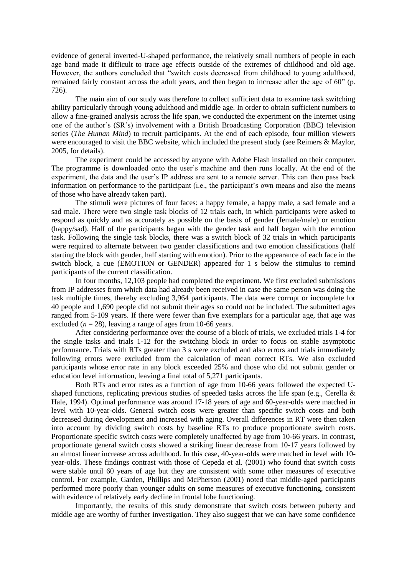evidence of general inverted-U-shaped performance, the relatively small numbers of people in each age band made it difficult to trace age effects outside of the extremes of childhood and old age. However, the authors concluded that "switch costs decreased from childhood to young adulthood, remained fairly constant across the adult years, and then began to increase after the age of 60" (p. 726).

The main aim of our study was therefore to collect sufficient data to examine task switching ability particularly through young adulthood and middle age. In order to obtain sufficient numbers to allow a fine-grained analysis across the life span, we conducted the experiment on the Internet using one of the author"s (SR"s) involvement with a British Broadcasting Corporation (BBC) television series (*The Human Mind*) to recruit participants. At the end of each episode, four million viewers were encouraged to visit the BBC website, which included the present study (see Reimers & Maylor, 2005, for details).

The experiment could be accessed by anyone with Adobe Flash installed on their computer. The programme is downloaded onto the user"s machine and then runs locally. At the end of the experiment, the data and the user's IP address are sent to a remote server. This can then pass back information on performance to the participant (i.e., the participant's own means and also the means of those who have already taken part).

The stimuli were pictures of four faces: a happy female, a happy male, a sad female and a sad male. There were two single task blocks of 12 trials each, in which participants were asked to respond as quickly and as accurately as possible on the basis of gender (female/male) or emotion (happy/sad). Half of the participants began with the gender task and half began with the emotion task. Following the single task blocks, there was a switch block of 32 trials in which participants were required to alternate between two gender classifications and two emotion classifications (half starting the block with gender, half starting with emotion). Prior to the appearance of each face in the switch block, a cue (EMOTION or GENDER) appeared for 1 s below the stimulus to remind participants of the current classification.

In four months, 12,103 people had completed the experiment. We first excluded submissions from IP addresses from which data had already been received in case the same person was doing the task multiple times, thereby excluding 3,964 participants. The data were corrupt or incomplete for 40 people and 1,690 people did not submit their ages so could not be included. The submitted ages ranged from 5-109 years. If there were fewer than five exemplars for a particular age, that age was excluded  $(n = 28)$ , leaving a range of ages from 10-66 years.

After considering performance over the course of a block of trials, we excluded trials 1-4 for the single tasks and trials 1-12 for the switching block in order to focus on stable asymptotic performance. Trials with RTs greater than 3 s were excluded and also errors and trials immediately following errors were excluded from the calculation of mean correct RTs. We also excluded participants whose error rate in any block exceeded 25% and those who did not submit gender or education level information, leaving a final total of 5,271 participants.

Both RTs and error rates as a function of age from 10-66 years followed the expected Ushaped functions, replicating previous studies of speeded tasks across the life span (e.g., Cerella  $\&$ Hale, 1994). Optimal performance was around 17-18 years of age and 60-year-olds were matched in level with 10-year-olds. General switch costs were greater than specific switch costs and both decreased during development and increased with aging. Overall differences in RT were then taken into account by dividing switch costs by baseline RTs to produce proportionate switch costs. Proportionate specific switch costs were completely unaffected by age from 10-66 years. In contrast, proportionate general switch costs showed a striking linear decrease from 10-17 years followed by an almost linear increase across adulthood. In this case, 40-year-olds were matched in level with 10 year-olds. These findings contrast with those of Cepeda et al. (2001) who found that switch costs were stable until 60 years of age but they are consistent with some other measures of executive control. For example, Garden, Phillips and McPherson (2001) noted that middle-aged participants performed more poorly than younger adults on some measures of executive functioning, consistent with evidence of relatively early decline in frontal lobe functioning.

Importantly, the results of this study demonstrate that switch costs between puberty and middle age are worthy of further investigation. They also suggest that we can have some confidence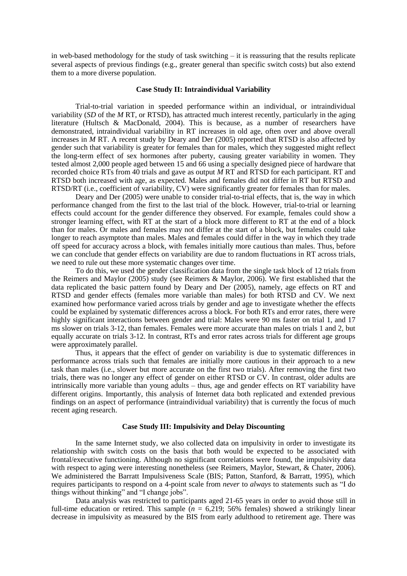in web-based methodology for the study of task switching – it is reassuring that the results replicate several aspects of previous findings (e.g., greater general than specific switch costs) but also extend them to a more diverse population.

#### **Case Study II: Intraindividual Variability**

Trial-to-trial variation in speeded performance within an individual, or intraindividual variability (*SD* of the *M* RT, or RTSD), has attracted much interest recently, particularly in the aging literature (Hultsch & MacDonald, 2004). This is because, as a number of researchers have demonstrated, intraindividual variability in RT increases in old age, often over and above overall increases in *M* RT. A recent study by Deary and Der (2005) reported that RTSD is also affected by gender such that variability is greater for females than for males, which they suggested might reflect the long-term effect of sex hormones after puberty, causing greater variability in women. They tested almost 2,000 people aged between 15 and 66 using a specially designed piece of hardware that recorded choice RTs from 40 trials and gave as output *M* RT and RTSD for each participant. RT and RTSD both increased with age, as expected. Males and females did not differ in RT but RTSD and RTSD/RT (i.e., coefficient of variability, CV) were significantly greater for females than for males.

Deary and Der (2005) were unable to consider trial-to-trial effects, that is, the way in which performance changed from the first to the last trial of the block. However, trial-to-trial or learning effects could account for the gender difference they observed. For example, females could show a stronger learning effect, with RT at the start of a block more different to RT at the end of a block than for males. Or males and females may not differ at the start of a block, but females could take longer to reach asymptote than males. Males and females could differ in the way in which they trade off speed for accuracy across a block, with females initially more cautious than males. Thus, before we can conclude that gender effects on variability are due to random fluctuations in RT across trials, we need to rule out these more systematic changes over time.

To do this, we used the gender classification data from the single task block of 12 trials from the Reimers and Maylor (2005) study (see Reimers & Maylor, 2006). We first established that the data replicated the basic pattern found by Deary and Der (2005), namely, age effects on RT and RTSD and gender effects (females more variable than males) for both RTSD and CV. We next examined how performance varied across trials by gender and age to investigate whether the effects could be explained by systematic differences across a block. For both RTs and error rates, there were highly significant interactions between gender and trial: Males were 90 ms faster on trial 1, and 17 ms slower on trials 3-12, than females. Females were more accurate than males on trials 1 and 2, but equally accurate on trials 3-12. In contrast, RTs and error rates across trials for different age groups were approximately parallel.

Thus, it appears that the effect of gender on variability is due to systematic differences in performance across trials such that females are initially more cautious in their approach to a new task than males (i.e., slower but more accurate on the first two trials). After removing the first two trials, there was no longer any effect of gender on either RTSD or CV. In contrast, older adults are intrinsically more variable than young adults – thus, age and gender effects on RT variability have different origins. Importantly, this analysis of Internet data both replicated and extended previous findings on an aspect of performance (intraindividual variability) that is currently the focus of much recent aging research.

# **Case Study III: Impulsivity and Delay Discounting**

In the same Internet study, we also collected data on impulsivity in order to investigate its relationship with switch costs on the basis that both would be expected to be associated with frontal/executive functioning. Although no significant correlations were found, the impulsivity data with respect to aging were interesting nonetheless (see Reimers, Maylor, Stewart, & Chater, 2006). We administered the Barratt Impulsiveness Scale (BIS; Patton, Stanford, & Barratt, 1995), which requires participants to respond on a 4-point scale from *never* to *always* to statements such as "I do things without thinking" and "I change jobs".

Data analysis was restricted to participants aged 21-65 years in order to avoid those still in full-time education or retired. This sample  $(n = 6,219; 56\%$  females) showed a strikingly linear decrease in impulsivity as measured by the BIS from early adulthood to retirement age. There was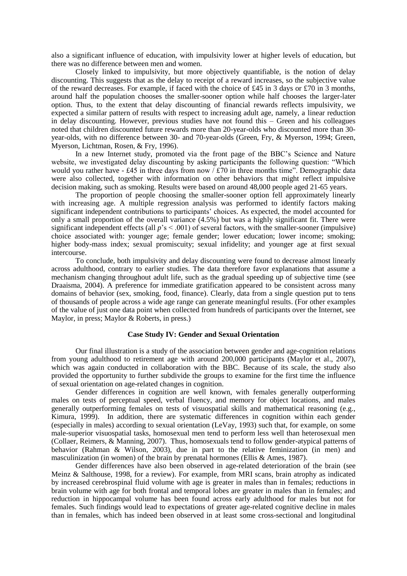also a significant influence of education, with impulsivity lower at higher levels of education, but there was no difference between men and women.

Closely linked to impulsivity, but more objectively quantifiable, is the notion of delay discounting. This suggests that as the delay to receipt of a reward increases, so the subjective value of the reward decreases. For example, if faced with the choice of £45 in 3 days or £70 in 3 months, around half the population chooses the smaller-sooner option while half chooses the larger-later option. Thus, to the extent that delay discounting of financial rewards reflects impulsivity, we expected a similar pattern of results with respect to increasing adult age, namely, a linear reduction in delay discounting. However, previous studies have not found this – Green and his colleagues noted that children discounted future rewards more than 20-year-olds who discounted more than 30 year-olds, with no difference between 30- and 70-year-olds (Green, Fry, & Myerson, 1994; Green, Myerson, Lichtman, Rosen, & Fry, 1996).

In a new Internet study, promoted via the front page of the BBC"s Science and Nature website, we investigated delay discounting by asking participants the following question: "Which would you rather have  $-545$  in three days from now / £70 in three months time". Demographic data were also collected, together with information on other behaviors that might reflect impulsive decision making, such as smoking. Results were based on around 48,000 people aged 21-65 years.

The proportion of people choosing the smaller-sooner option fell approximately linearly with increasing age. A multiple regression analysis was performed to identify factors making significant independent contributions to participants' choices. As expected, the model accounted for only a small proportion of the overall variance (4.5%) but was a highly significant fit. There were significant independent effects (all *p*'s < .001) of several factors, with the smaller-sooner (impulsive) choice associated with: younger age; female gender; lower education; lower income; smoking; higher body-mass index; sexual promiscuity; sexual infidelity; and younger age at first sexual intercourse.

To conclude, both impulsivity and delay discounting were found to decrease almost linearly across adulthood, contrary to earlier studies. The data therefore favor explanations that assume a mechanism changing throughout adult life, such as the gradual speeding up of subjective time (see Draaisma, 2004). A preference for immediate gratification appeared to be consistent across many domains of behavior (sex, smoking, food, finance). Clearly, data from a single question put to tens of thousands of people across a wide age range can generate meaningful results. (For other examples of the value of just one data point when collected from hundreds of participants over the Internet, see Maylor, in press; Maylor & Roberts, in press.)

# **Case Study IV: Gender and Sexual Orientation**

Our final illustration is a study of the association between gender and age-cognition relations from young adulthood to retirement age with around 200,000 participants (Maylor et al., 2007), which was again conducted in collaboration with the BBC. Because of its scale, the study also provided the opportunity to further subdivide the groups to examine for the first time the influence of sexual orientation on age-related changes in cognition.

Gender differences in cognition are well known, with females generally outperforming males on tests of perceptual speed, verbal fluency, and memory for object locations, and males generally outperforming females on tests of visuospatial skills and mathematical reasoning (e.g., Kimura, 1999). In addition, there are systematic differences in cognition within each gender (especially in males) according to sexual orientation (LeVay, 1993) such that, for example, on some male-superior visuospatial tasks, homosexual men tend to perform less well than heterosexual men (Collaer, Reimers, & Manning, 2007). Thus, homosexuals tend to follow gender-atypical patterns of behavior (Rahman & Wilson, 2003), due in part to the relative feminization (in men) and masculinization (in women) of the brain by prenatal hormones (Ellis & Ames, 1987).

Gender differences have also been observed in age-related deterioration of the brain (see Meinz & Salthouse, 1998, for a review). For example, from MRI scans, brain atrophy as indicated by increased cerebrospinal fluid volume with age is greater in males than in females; reductions in brain volume with age for both frontal and temporal lobes are greater in males than in females; and reduction in hippocampal volume has been found across early adulthood for males but not for females. Such findings would lead to expectations of greater age-related cognitive decline in males than in females, which has indeed been observed in at least some cross-sectional and longitudinal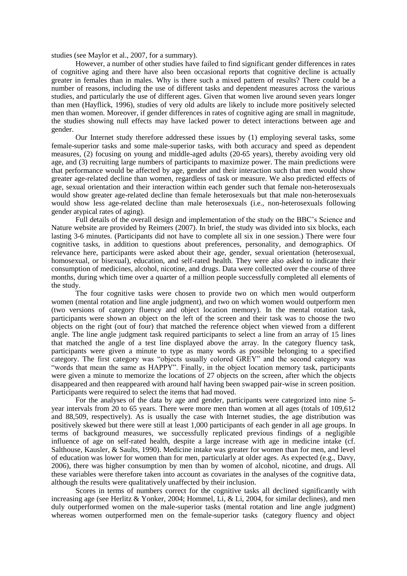studies (see Maylor et al., 2007, for a summary).

However, a number of other studies have failed to find significant gender differences in rates of cognitive aging and there have also been occasional reports that cognitive decline is actually greater in females than in males. Why is there such a mixed pattern of results? There could be a number of reasons, including the use of different tasks and dependent measures across the various studies, and particularly the use of different ages. Given that women live around seven years longer than men (Hayflick, 1996), studies of very old adults are likely to include more positively selected men than women. Moreover, if gender differences in rates of cognitive aging are small in magnitude, the studies showing null effects may have lacked power to detect interactions between age and gender.

Our Internet study therefore addressed these issues by (1) employing several tasks, some female-superior tasks and some male-superior tasks, with both accuracy and speed as dependent measures, (2) focusing on young and middle-aged adults (20-65 years), thereby avoiding very old age, and (3) recruiting large numbers of participants to maximize power. The main predictions were that performance would be affected by age, gender and their interaction such that men would show greater age-related decline than women, regardless of task or measure. We also predicted effects of age, sexual orientation and their interaction within each gender such that female non-heterosexuals would show greater age-related decline than female heterosexuals but that male non-heterosexuals would show less age-related decline than male heterosexuals (i.e., non-heterosexuals following gender atypical rates of aging).

Full details of the overall design and implementation of the study on the BBC's Science and Nature website are provided by Reimers (2007). In brief, the study was divided into six blocks, each lasting 3-6 minutes. (Participants did not have to complete all six in one session.) There were four cognitive tasks, in addition to questions about preferences, personality, and demographics. Of relevance here, participants were asked about their age, gender, sexual orientation (heterosexual, homosexual, or bisexual), education, and self-rated health. They were also asked to indicate their consumption of medicines, alcohol, nicotine, and drugs. Data were collected over the course of three months, during which time over a quarter of a million people successfully completed all elements of the study.

The four cognitive tasks were chosen to provide two on which men would outperform women (mental rotation and line angle judgment), and two on which women would outperform men (two versions of category fluency and object location memory). In the mental rotation task, participants were shown an object on the left of the screen and their task was to choose the two objects on the right (out of four) that matched the reference object when viewed from a different angle. The line angle judgment task required participants to select a line from an array of 15 lines that matched the angle of a test line displayed above the array. In the category fluency task, participants were given a minute to type as many words as possible belonging to a specified category. The first category was "objects usually colored GREY" and the second category was "words that mean the same as HAPPY". Finally, in the object location memory task, participants were given a minute to memorize the locations of 27 objects on the screen, after which the objects disappeared and then reappeared with around half having been swapped pair-wise in screen position. Participants were required to select the items that had moved.

For the analyses of the data by age and gender, participants were categorized into nine 5 year intervals from 20 to 65 years. There were more men than women at all ages (totals of 109,612 and 88,509, respectively). As is usually the case with Internet studies, the age distribution was positively skewed but there were still at least 1,000 participants of each gender in all age groups. In terms of background measures, we successfully replicated previous findings of a negligible influence of age on self-rated health, despite a large increase with age in medicine intake (cf. Salthouse, Kausler, & Saults, 1990). Medicine intake was greater for women than for men, and level of education was lower for women than for men, particularly at older ages. As expected (e.g., Davy, 2006), there was higher consumption by men than by women of alcohol, nicotine, and drugs. All these variables were therefore taken into account as covariates in the analyses of the cognitive data, although the results were qualitatively unaffected by their inclusion.

Scores in terms of numbers correct for the cognitive tasks all declined significantly with increasing age (see Herlitz & Yonker, 2004; Hommel, Li, & Li, 2004, for similar declines), and men duly outperformed women on the male-superior tasks (mental rotation and line angle judgment) whereas women outperformed men on the female-superior tasks (category fluency and object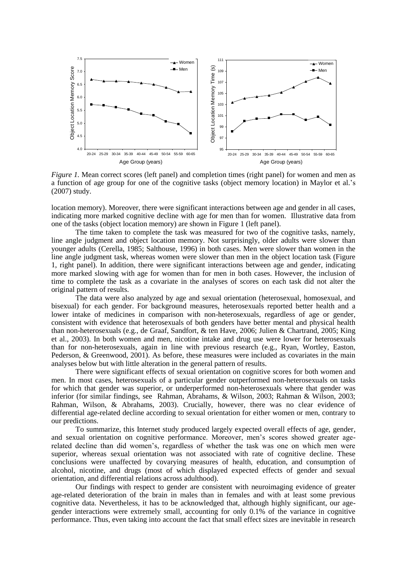

*Figure 1.* Mean correct scores (left panel) and completion times (right panel) for women and men as a function of age group for one of the cognitive tasks (object memory location) in Maylor et al."s (2007) study.

location memory). Moreover, there were significant interactions between age and gender in all cases, indicating more marked cognitive decline with age for men than for women. Illustrative data from one of the tasks (object location memory) are shown in Figure 1 (left panel).

The time taken to complete the task was measured for two of the cognitive tasks, namely, line angle judgment and object location memory. Not surprisingly, older adults were slower than younger adults (Cerella, 1985; Salthouse, 1996) in both cases. Men were slower than women in the line angle judgment task, whereas women were slower than men in the object location task (Figure 1, right panel). In addition, there were significant interactions between age and gender, indicating more marked slowing with age for women than for men in both cases. However, the inclusion of time to complete the task as a covariate in the analyses of scores on each task did not alter the original pattern of results.

The data were also analyzed by age and sexual orientation (heterosexual, homosexual, and bisexual) for each gender. For background measures, heterosexuals reported better health and a lower intake of medicines in comparison with non-heterosexuals, regardless of age or gender, consistent with evidence that heterosexuals of both genders have better mental and physical health than non-heterosexuals (e.g., de Graaf, Sandfort, & ten Have, 2006; Julien & Chartrand, 2005; King et al., 2003). In both women and men, nicotine intake and drug use were lower for heterosexuals than for non-heterosexuals, again in line with previous research (e.g., Ryan, Wortley, Easton, Pederson, & Greenwood, 2001). As before, these measures were included as covariates in the main analyses below but with little alteration in the general pattern of results.

There were significant effects of sexual orientation on cognitive scores for both women and men. In most cases, heterosexuals of a particular gender outperformed non-heterosexuals on tasks for which that gender was superior, or underperformed non-heterosexuals where that gender was inferior (for similar findings, see Rahman, Abrahams, & Wilson, 2003; Rahman & Wilson, 2003; Rahman, Wilson, & Abrahams, 2003). Crucially, however, there was no clear evidence of differential age-related decline according to sexual orientation for either women or men, contrary to our predictions.

To summarize, this Internet study produced largely expected overall effects of age, gender, and sexual orientation on cognitive performance. Moreover, men"s scores showed greater agerelated decline than did women"s, regardless of whether the task was one on which men were superior, whereas sexual orientation was not associated with rate of cognitive decline. These conclusions were unaffected by covarying measures of health, education, and consumption of alcohol, nicotine, and drugs (most of which displayed expected effects of gender and sexual orientation, and differential relations across adulthood).

Our findings with respect to gender are consistent with neuroimaging evidence of greater age-related deterioration of the brain in males than in females and with at least some previous cognitive data. Nevertheless, it has to be acknowledged that, although highly significant, our agegender interactions were extremely small, accounting for only 0.1% of the variance in cognitive performance. Thus, even taking into account the fact that small effect sizes are inevitable in research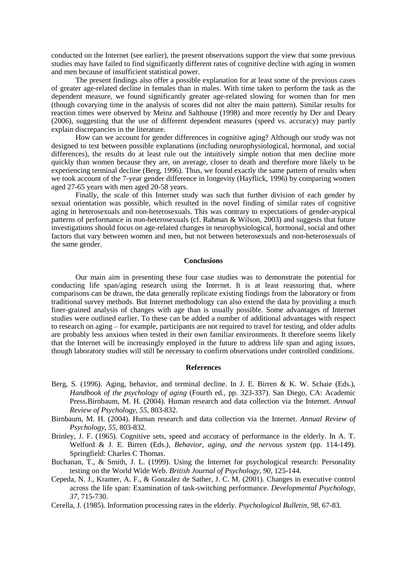conducted on the Internet (see earlier), the present observations support the view that some previous studies may have failed to find significantly different rates of cognitive decline with aging in women and men because of insufficient statistical power.

The present findings also offer a possible explanation for at least some of the previous cases of greater age-related decline in females than in males. With time taken to perform the task as the dependent measure, we found significantly greater age-related slowing for women than for men (though covarying time in the analysis of scores did not alter the main pattern). Similar results for reaction times were observed by Meinz and Salthouse (1998) and more recently by Der and Deary (2006), suggesting that the use of different dependent measures (speed vs. accuracy) may partly explain discrepancies in the literature.

How can we account for gender differences in cognitive aging? Although our study was not designed to test between possible explanations (including neurophysiological, hormonal, and social differences), the results do at least rule out the intuitively simple notion that men decline more quickly than women because they are, on average, closer to death and therefore more likely to be experiencing terminal decline (Berg, 1996). Thus, we found exactly the same pattern of results when we took account of the 7-year gender difference in longevity (Hayflick, 1996) by comparing women aged 27-65 years with men aged 20-58 years.

Finally, the scale of this Internet study was such that further division of each gender by sexual orientation was possible, which resulted in the novel finding of similar rates of cognitive aging in heterosexuals and non-heterosexuals. This was contrary to expectations of gender-atypical patterns of performance in non-heterosexuals (cf. Rahman & Wilson, 2003) and suggests that future investigations should focus on age-related changes in neurophysiological, hormonal, social and other factors that vary between women and men, but not between heterosexuals and non-heterosexuals of the same gender.

## **Conclusions**

Our main aim in presenting these four case studies was to demonstrate the potential for conducting life span/aging research using the Internet. It is at least reassuring that, where comparisons can be drawn, the data generally replicate existing findings from the laboratory or from traditional survey methods. But Internet methodology can also extend the data by providing a much finer-grained analysis of changes with age than is usually possible. Some advantages of Internet studies were outlined earlier. To these can be added a number of additional advantages with respect to research on aging – for example, participants are not required to travel for testing, and older adults are probably less anxious when tested in their own familiar environments. It therefore seems likely that the Internet will be increasingly employed in the future to address life span and aging issues, though laboratory studies will still be necessary to confirm observations under controlled conditions.

## **References**

- Berg, S. (1996). Aging, behavior, and terminal decline. In J. E. Birren & K. W. Schaie (Eds.), *Handbook of the psychology of aging* (Fourth ed., pp. 323-337). San Diego, CA: Academic Press.Birnbaum, M. H. (2004). Human research and data collection via the Internet. *Annual Review of Psychology, 55,* 803-832.
- Birnbaum, M. H. (2004). Human research and data collection via the Internet. *Annual Review of Psychology, 55,* 803-832.
- Brinley, J. F. (1965). Cognitive sets, speed and accuracy of performance in the elderly. In A. T. Welford & J. E. Birren (Eds.), *Behavior, aging, and the nervous system* (pp. 114-149). Springfield: Charles C Thomas.
- Buchanan, T., & Smith, J. L. (1999). Using the Internet for psychological research: Personality testing on the World Wide Web. *British Journal of Psychology, 90,* 125-144.
- Cepeda, N. J., Kramer, A. F., & Gonzalez de Sather, J. C. M. (2001). Changes in executive control across the life span: Examination of task-switching performance. *Developmental Psychology, 37*, 715-730.
- Cerella, J. (1985). Information processing rates in the elderly. *Psychological Bulletin, 98,* 67-83.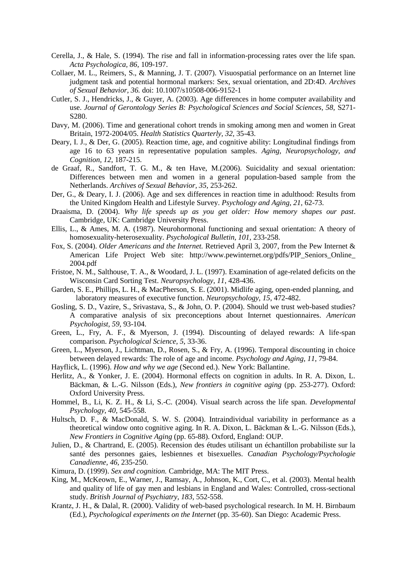- Cerella, J., & Hale, S. (1994). The rise and fall in information-processing rates over the life span. *Acta Psychologica, 86,* 109-197.
- Collaer, M. L., Reimers, S., & Manning, J. T. (2007). Visuospatial performance on an Internet line judgment task and potential hormonal markers: Sex, sexual orientation, and 2D:4D. *Archives of Sexual Behavior, 36.* doi: 10.1007/s10508-006-9152-1
- Cutler, S. J., Hendricks, J., & Guyer, A. (2003). Age differences in home computer availability and use. *Journal of Gerontology Series B: Psychological Sciences and Social Sciences, 58,* S271- S280.
- Davy, M. (2006). Time and generational cohort trends in smoking among men and women in Great Britain, 1972-2004/05. *Health Statistics Quarterly, 32,* 35-43.
- Deary, I. J., & Der, G. (2005). Reaction time, age, and cognitive ability: Longitudinal findings from age 16 to 63 years in representative population samples. *Aging, Neuropsychology, and Cognition, 12,* 187-215.
- de Graaf, R., Sandfort, T. G. M., & ten Have, M.(2006). Suicidality and sexual orientation: Differences between men and women in a general population-based sample from the Netherlands. *Archives of Sexual Behavior, 35,* 253-262.
- Der, G., & Deary, I. J. (2006). Age and sex differences in reaction time in adulthood: Results from the United Kingdom Health and Lifestyle Survey. *Psychology and Aging, 21,* 62-73.
- Draaisma, D. (2004). *Why life speeds up as you get older: How memory shapes our past*. Cambridge, UK: Cambridge University Press.
- Ellis, L., & Ames, M. A. (1987). Neurohormonal functioning and sexual orientation: A theory of homosexuality-heterosexuality. *Psychological Bulletin, 101,* 233-258.
- Fox, S. (2004). *Older Americans and the Internet.* Retrieved April 3, 2007, from the Pew Internet & American Life Project Web site: http://www.pewinternet.org/pdfs/PIP\_Seniors\_Online\_ 2004.pdf
- Fristoe, N. M., Salthouse, T. A., & Woodard, J. L. (1997). Examination of age-related deficits on the Wisconsin Card Sorting Test. *Neuropsychology, 11*, 428-436.
- Garden, S. E., Phillips, L. H., & MacPherson, S. E. (2001). Midlife aging, open-ended planning, and laboratory measures of executive function. *Neuropsychology, 15*, 472-482.
- Gosling, S. D., Vazire, S., Srivastava, S., & John, O. P. (2004). Should we trust web-based studies? A comparative analysis of six preconceptions about Internet questionnaires. *American Psychologist, 59,* 93-104.
- Green, L., Fry, A. F., & Myerson, J. (1994). Discounting of delayed rewards: A life-span comparison. *Psychological Science, 5*, 33-36.
- Green, L., Myerson, J., Lichtman, D., Rosen, S., & Fry, A. (1996). Temporal discounting in choice between delayed rewards: The role of age and income. *Psychology and Aging, 11*, 79-84.
- Hayflick, L. (1996). *How and why we age* (Second ed.). New York: Ballantine.
- Herlitz, A., & Yonker, J. E. (2004). Hormonal effects on cognition in adults. In R. A. Dixon, L. Bäckman, & L.-G. Nilsson (Eds.), *New frontiers in cognitive aging* (pp. 253-277). Oxford: Oxford University Press.
- Hommel, B., Li, K. Z. H., & Li, S.-C. (2004). Visual search across the life span. *Developmental Psychology, 40,* 545-558.
- Hultsch, D. F., & MacDonald, S. W. S. (2004). Intraindividual variability in performance as a theoretical window onto cognitive aging. In R. A. Dixon, L. Bäckman & L.-G. Nilsson (Eds.), *New Frontiers in Cognitive Aging* (pp. 65-88). Oxford, England: OUP.
- Julien, D., & Chartrand, E. (2005). Recension des études utilisant un échantillon probabiliste sur la santé des personnes gaies, lesbiennes et bisexuelles. *Canadian Psychology/Psychologie Canadienne, 46,* 235-250.
- Kimura, D. (1999). *Sex and cognition.* Cambridge, MA: The MIT Press.
- King, M., McKeown, E., Warner, J., Ramsay, A., Johnson, K., Cort, C., et al. (2003). Mental health and quality of life of gay men and lesbians in England and Wales: Controlled, cross-sectional study. *British Journal of Psychiatry, 183,* 552-558.
- Krantz, J. H., & Dalal, R. (2000). Validity of web-based psychological research. In M. H. Birnbaum (Ed.), *Psychological experiments on the Internet* (pp. 35-60). San Diego: Academic Press.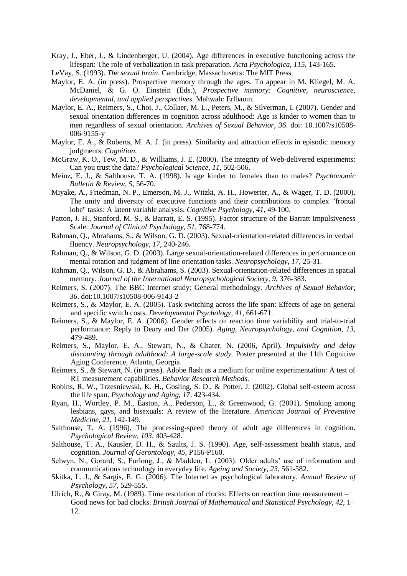- Kray, J., Eber, J., & Lindenberger, U. (2004). Age differences in executive functioning across the lifespan: The role of verbalization in task preparation. *Acta Psychologica, 115*, 143-165.
- LeVay, S. (1993). *The sexual brain*. Cambridge, Massachusetts: The MIT Press.
- Maylor, E. A. (in press). Prospective memory through the ages. To appear in M. Kliegel, M. A. McDaniel, & G. O. Einstein (Eds.), *Prospective memory: Cognitive, neuroscience, developmental, and applied perspectives.* Mahwah: Erlbaum.
- Maylor, E. A., Reimers, S., Choi, J., Collaer, M. L., Peters, M., & Silverman, I. (2007). Gender and sexual orientation differences in cognition across adulthood: Age is kinder to women than to men regardless of sexual orientation. *Archives of Sexual Behavior, 36*. doi: 10.1007/s10508- 006-9155-y
- Maylor, E. A., & Roberts, M. A. J. (in press). Similarity and attraction effects in episodic memory judgments. *Cognition*.
- McGraw, K. O., Tew, M. D., & Williams, J. E. (2000). The integrity of Web-delivered experiments: Can you trust the data? *Psychological Science, 11,* 502-506.
- Meinz, E. J., & Salthouse, T. A. (1998). Is age kinder to females than to males? *Psychonomic Bulletin & Review, 5,* 56-70.
- Miyake, A., Friedman, N. P., Emerson, M. J., Witzki, A. H., Howerter, A., & Wager, T. D. (2000). The unity and diversity of executive functions and their contributions to complex "frontal lobe" tasks: A latent variable analysis. *Cognitive Psychology, 41*, 49-100.
- Patton, J. H., Stanford, M. S., & Barratt, E. S. (1995). Factor structure of the Barratt Impulsiveness Scale. *Journal of Clinical Psychology, 51*, 768-774.
- Rahman, Q., Abrahams, S., & Wilson, G. D. (2003). Sexual-orientation-related differences in verbal fluency. *Neuropsychology, 17,* 240-246.
- Rahman, Q., & Wilson, G. D. (2003). Large sexual-orientation-related differences in performance on mental rotation and judgment of line orientation tasks. *Neuropsychology, 17,* 25-31.
- Rahman, Q., Wilson, G. D., & Abrahams, S. (2003). Sexual-orientation-related differences in spatial memory. *Journal of the International Neuropsychological Society, 9,* 376-383.
- Reimers, S. (2007). The BBC Internet study: General methodology. *Archives of Sexual Behavior, 36*. doi:10.1007/s10508-006-9143-2
- Reimers, S., & Maylor, E. A. (2005). Task switching across the life span: Effects of age on general and specific switch costs. *Developmental Psychology, 41,* 661-671.
- Reimers, S., & Maylor, E. A. (2006). Gender effects on reaction time variability and trial-to-trial performance: Reply to Deary and Der (2005). *Aging, Neuropsychology, and Cognition, 13,* 479-489.
- Reimers, S., Maylor, E. A., Stewart, N., & Chater, N. (2006, April). *Impulsivity and delay discounting through adulthood: A large-scale study.* Poster presented at the 11th Cognitive Aging Conference, Atlanta, Georgia.
- Reimers, S., & Stewart, N. (in press). Adobe flash as a medium for online experimentation: A test of RT measurement capabilities. *Behavior Research Methods.*
- Robins, R. W., Trzesniewski, K. H., Gosling, S. D., & Potter, J. (2002). Global self-esteem across the life span. *Psychology and Aging, 17,* 423-434.
- Ryan, H., Wortley, P. M., Easton, A., Pederson, L., & Greenwood, G. (2001). Smoking among lesbians, gays, and bisexuals: A review of the literature. *American Journal of Preventive Medicine, 21,* 142-149.
- Salthouse, T. A. (1996). The processing-speed theory of adult age differences in cognition. *Psychological Review, 103,* 403-428.
- Salthouse, T. A., Kausler, D. H., & Saults, J. S. (1990). Age, self-assessment health status, and cognition. *Journal of Gerontology, 45,* P156-P160.
- Selwyn, N., Gorard, S., Furlong, J., & Madden, L. (2003). Older adults' use of information and communications technology in everyday life. *Ageing and Society, 23,* 561-582.
- Skitka, L. J., & Sargis, E. G. (2006). The Internet as psychological laboratory. *Annual Review of Psychology, 57,* 529-555.
- Ulrich, R., & Giray, M. (1989). Time resolution of clocks: Effects on reaction time measurement Good news for bad clocks. *British Journal of Mathematical and Statistical Psychology, 42,* 1– 12.